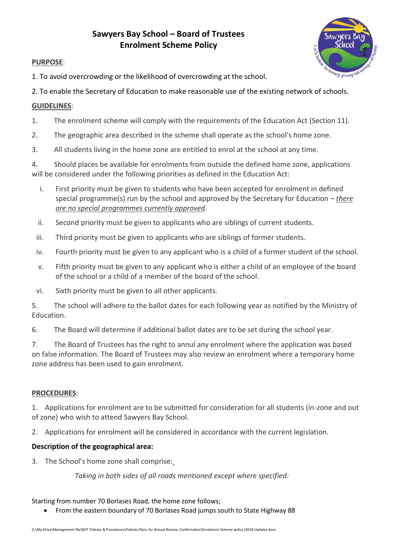# **Sawyers Bay School – Board of Trustees Enrolment Scheme Policy**



## **PURPOSE**:

- 1. To avoid overcrowding or the likelihood of overcrowding at the school.
- 2. To enable the Secretary of Education to make reasonable use of the existing network of schools.

## **GUIDELINES**:

- 1. The enrolment scheme will comply with the requirements of the Education Act (Section 11).
- 2. The geographic area described in the scheme shall operate as the school's home zone.
- 3. All students living in the home zone are entitled to enrol at the school at any time.

4. Should places be available for enrolments from outside the defined home zone, applications will be considered under the following priorities as defined in the Education Act:

- i. First priority must be given to students who have been accepted for enrolment in defined special programme(s) run by the school and approved by the Secretary for Education – *there are no special programmes currently approved.*
- ii. Second priority must be given to applicants who are siblings of current students.
- iii. Third priority must be given to applicants who are siblings of former students.
- iv. Fourth priority must be given to any applicant who is a child of a former student of the school.
- v. Fifth priority must be given to any applicant who is either a child of an employee of the board of the school or a child of a member of the board of the school.
- vi. Sixth priority must be given to all other applicants.

5. The school will adhere to the ballot dates for each following year as notified by the Ministry of Education.

6. The Board will determine if additional ballot dates are to be set during the school year.

7. The Board of Trustees has the right to annul any enrolment where the application was based on false information. The Board of Trustees may also review an enrolment where a temporary home zone address has been used to gain enrolment.

### **PROCEDURES**:

1. Applications for enrolment are to be submitted for consideration for all students (in-zone and out of zone) who wish to attend Sawyers Bay School.

2. Applications for enrolment will be considered in accordance with the current legislation.

### **Description of the geographical area:**

3. The School's home zone shall comprise:

*Taking in both sides of all roads mentioned except where specified:*

Starting from number 70 Borlases Road, the home zone follows;

From the eastern boundary of 70 Borlases Road jumps south to State Highway 88